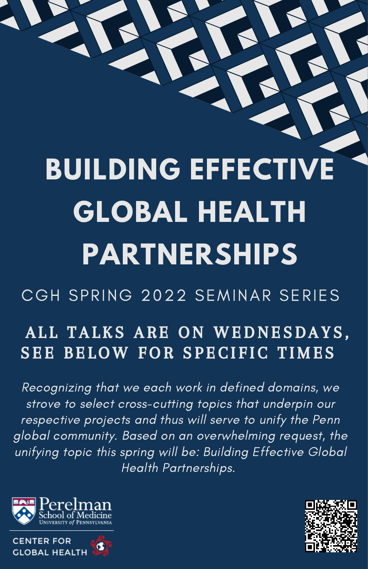## **BUILDING EFFECTIVE GLOBAL HEALTH PARTNERSHIPS**

## CGH SPRING 2022 SEMINAR SERIES

## ALL TALKS ARE ON WEDNESDAYS, SEE BELOW FOR SPECIFIC TIMES

Recognizing that we each work in defined domains, we strove to select cross-cutting topics that underpin our respective projects and thus will serve to unify the Penn global community. Based on an overwhelming request, the unifying topic this spring will be: Building Effective Global Health Partnerships.





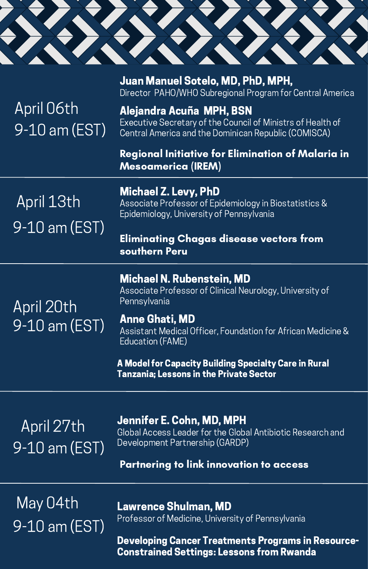

|                             | Juan Manuel Sotelo, MD, PhD, MPH,<br>Director PAHO/WHO Subregional Program for Central America                                                                         |
|-----------------------------|------------------------------------------------------------------------------------------------------------------------------------------------------------------------|
| April O6th<br>9-10 am (EST) | Alejandra Acuña MPH, BSN<br>Executive Secretary of the Council of Ministrs of Health of<br>Central America and the Dominican Republic (COMISCA)                        |
|                             | Regional Initiative for Elimination of Malaria in<br><b>Mesoamerica (IREM)</b>                                                                                         |
| April 13th<br>9-10 am (EST) | <b>Michael Z. Levy, PhD</b><br>Associate Professor of Epidemiology in Biostatistics &<br>Epidemiology, University of Pennsylvania                                      |
|                             | Eliminating Chagas disease vectors from<br>southern Peru                                                                                                               |
| April 20th<br>9-10 am (EST) | <b>Michael N. Rubenstein, MD</b><br>Associate Professor of Clinical Neurology, University of<br>Pennsylvania                                                           |
|                             | <b>Anne Ghati, MD</b><br>Assistant Medical Officer, Foundation for African Medicine &<br>Education (FAME)                                                              |
|                             | A Model for Capacity Building Specialty Care in Rural<br><b>Tanzania; Lessons in the Private Sector</b>                                                                |
| April 27th<br>9-10 am (EST) | Jennifer E. Cohn, MD, MPH<br>Global Access Leader for the Global Antibiotic Research and<br>Development Partnership (GARDP)<br>Partnering to link innovation to access |
| May 04th<br>9-10 am (EST)   | <b>Lawrence Shulman, MD</b><br>Professor of Medicine, University of Pennsylvania                                                                                       |

Developing Cancer Treatments Programs in Resource-Constrained Settings: Lessons from Rwanda